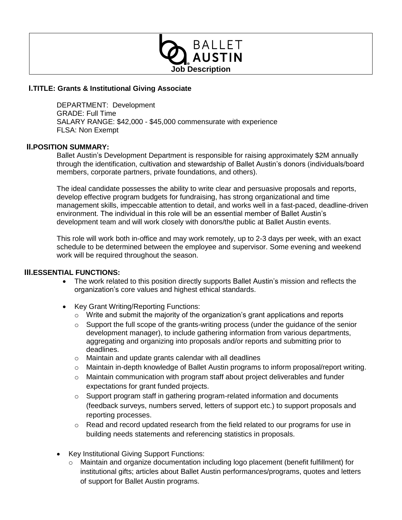

## **I.TITLE: Grants & Institutional Giving Associate**

DEPARTMENT: Development GRADE: Full Time SALARY RANGE: \$42,000 - \$45,000 commensurate with experience FLSA: Non Exempt

## **II.POSITION SUMMARY:**

Ballet Austin's Development Department is responsible for raising approximately \$2M annually through the identification, cultivation and stewardship of Ballet Austin's donors (individuals/board members, corporate partners, private foundations, and others).

The ideal candidate possesses the ability to write clear and persuasive proposals and reports, develop effective program budgets for fundraising, has strong organizational and time management skills, impeccable attention to detail, and works well in a fast-paced, deadline-driven environment. The individual in this role will be an essential member of Ballet Austin's development team and will work closely with donors/the public at Ballet Austin events.

This role will work both in-office and may work remotely, up to 2-3 days per week, with an exact schedule to be determined between the employee and supervisor. Some evening and weekend work will be required throughout the season.

#### **III.ESSENTIAL FUNCTIONS:**

- The work related to this position directly supports Ballet Austin's mission and reflects the organization's core values and highest ethical standards.
- Key Grant Writing/Reporting Functions:
	- o Write and submit the majority of the organization's grant applications and reports
	- o Support the full scope of the grants-writing process (under the guidance of the senior development manager), to include gathering information from various departments, aggregating and organizing into proposals and/or reports and submitting prior to deadlines.
	- o Maintain and update grants calendar with all deadlines
	- o Maintain in-depth knowledge of Ballet Austin programs to inform proposal/report writing.
	- o Maintain communication with program staff about project deliverables and funder expectations for grant funded projects.
	- o Support program staff in gathering program-related information and documents (feedback surveys, numbers served, letters of support etc.) to support proposals and reporting processes.
	- $\circ$  Read and record updated research from the field related to our programs for use in building needs statements and referencing statistics in proposals.
- Key Institutional Giving Support Functions:
	- o Maintain and organize documentation including logo placement (benefit fulfillment) for institutional gifts; articles about Ballet Austin performances/programs, quotes and letters of support for Ballet Austin programs.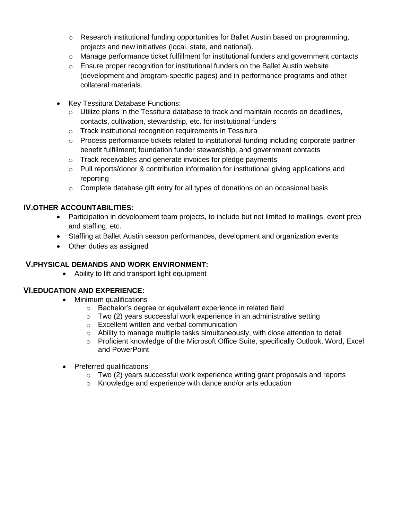- $\circ$  Research institutional funding opportunities for Ballet Austin based on programming, projects and new initiatives (local, state, and national).
- $\circ$  Manage performance ticket fulfillment for institutional funders and government contacts
- $\circ$  Ensure proper recognition for institutional funders on the Ballet Austin website (development and program-specific pages) and in performance programs and other collateral materials.
- Key Tessitura Database Functions:
	- $\circ$  Utilize plans in the Tessitura database to track and maintain records on deadlines, contacts, cultivation, stewardship, etc. for institutional funders
	- o Track institutional recognition requirements in Tessitura
	- $\circ$  Process performance tickets related to institutional funding including corporate partner benefit fulfillment; foundation funder stewardship, and government contacts
	- o Track receivables and generate invoices for pledge payments
	- $\circ$  Pull reports/donor & contribution information for institutional giving applications and reporting
	- $\circ$  Complete database gift entry for all types of donations on an occasional basis

# **IV.OTHER ACCOUNTABILITIES:**

- Participation in development team projects, to include but not limited to mailings, event prep and staffing, etc.
- Staffing at Ballet Austin season performances, development and organization events
- Other duties as assigned

# **V.PHYSICAL DEMANDS AND WORK ENVIRONMENT:**

Ability to lift and transport light equipment

## **VI.EDUCATION AND EXPERIENCE:**

- Minimum qualifications
	- o Bachelor's degree or equivalent experience in related field
	- o Two (2) years successful work experience in an administrative setting
	- o Excellent written and verbal communication
	- $\circ$  Ability to manage multiple tasks simultaneously, with close attention to detail
	- $\circ$  Proficient knowledge of the Microsoft Office Suite, specifically Outlook, Word, Excel and PowerPoint
- Preferred qualifications
	- $\circ$  Two (2) years successful work experience writing grant proposals and reports
	- o Knowledge and experience with dance and/or arts education